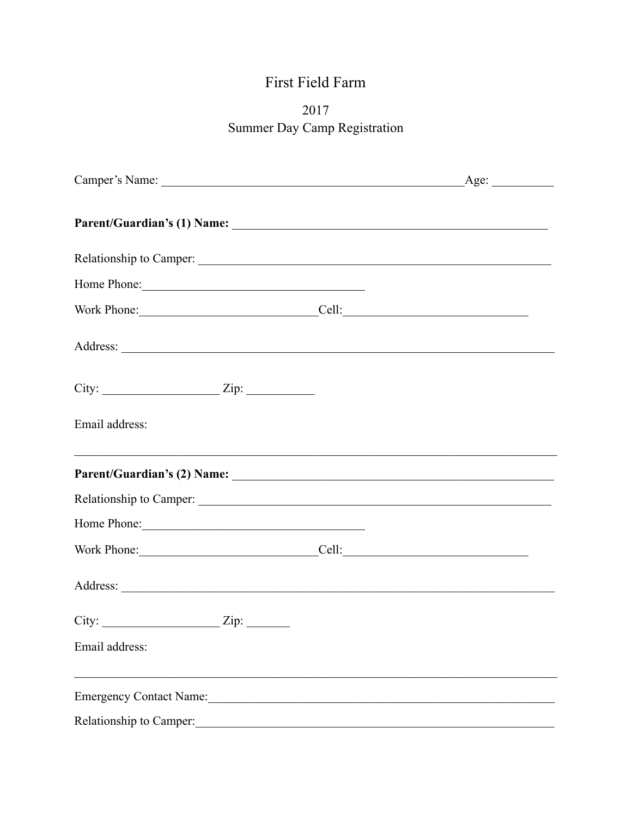# First Field Farm

## 2017 Summer Day Camp Registration

| Relationship to Camper:                           |  |
|---------------------------------------------------|--|
|                                                   |  |
| Work Phone: Cell: Cell:                           |  |
|                                                   |  |
| City: $\qquad \qquad \qquad \text{Zip:}$          |  |
| Email address:                                    |  |
|                                                   |  |
| Relationship to Camper:                           |  |
| Home Phone:                                       |  |
| Work Phone: Cell: Cell:                           |  |
|                                                   |  |
| $City:$ $Zip:$ $Zip:$                             |  |
| Email address:                                    |  |
| <u> 1989 - Johann Barbara, martxa alemaniar a</u> |  |
| Relationship to Camper:                           |  |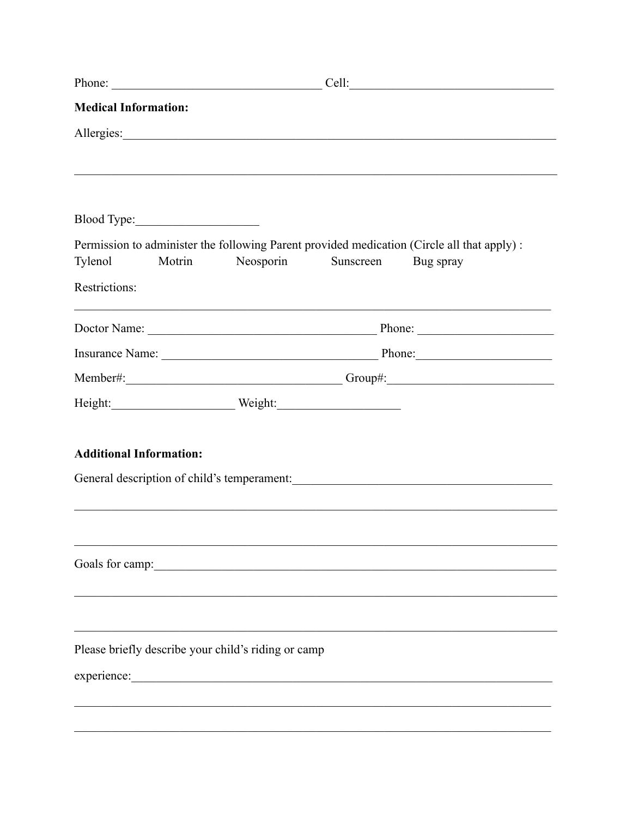| Cell:<br><u> 1980 - Johann Barn, mars and de Branch Barn, mars and de Branch Barn, mars and de Branch Barn, mars and de Br</u> |  |
|--------------------------------------------------------------------------------------------------------------------------------|--|
|                                                                                                                                |  |
|                                                                                                                                |  |
|                                                                                                                                |  |
|                                                                                                                                |  |
|                                                                                                                                |  |
| Permission to administer the following Parent provided medication (Circle all that apply) :                                    |  |
| Neosporin<br>Sunscreen<br>Bug spray                                                                                            |  |
|                                                                                                                                |  |
|                                                                                                                                |  |
|                                                                                                                                |  |
|                                                                                                                                |  |
|                                                                                                                                |  |
|                                                                                                                                |  |
|                                                                                                                                |  |
| General description of child's temperament:                                                                                    |  |
|                                                                                                                                |  |
|                                                                                                                                |  |
|                                                                                                                                |  |
|                                                                                                                                |  |
|                                                                                                                                |  |
|                                                                                                                                |  |
| Please briefly describe your child's riding or camp                                                                            |  |
|                                                                                                                                |  |
|                                                                                                                                |  |
|                                                                                                                                |  |
|                                                                                                                                |  |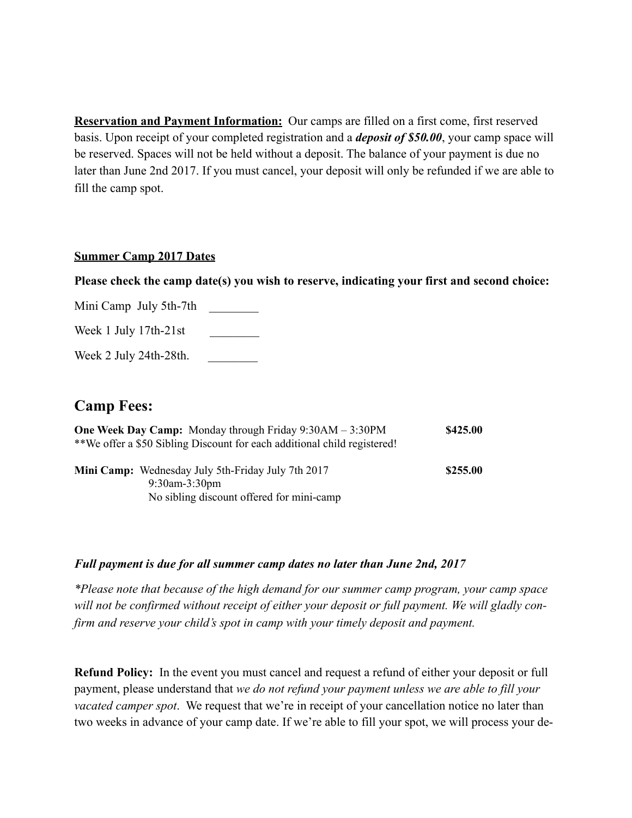**Reservation and Payment Information:** Our camps are filled on a first come, first reserved basis. Upon receipt of your completed registration and a *deposit of \$50.00*, your camp space will be reserved. Spaces will not be held without a deposit. The balance of your payment is due no later than June 2nd 2017. If you must cancel, your deposit will only be refunded if we are able to fill the camp spot.

#### **Summer Camp 2017 Dates**

**Please check the camp date(s) you wish to reserve, indicating your first and second choice:**

Mini Camp July 5th-7th Week 1 July 17th-21st

Week 2 July 24th-28th.

### **Camp Fees:**

| <b>One Week Day Camp:</b> Monday through Friday $9:30AM - 3:30PM$        | \$425.00 |
|--------------------------------------------------------------------------|----------|
| **We offer a \$50 Sibling Discount for each additional child registered! |          |
|                                                                          |          |
| <b>Mini Camp:</b> Wednesday July 5th-Friday July 7th 2017                | \$255.00 |
| $9:30$ am- $3:30$ pm                                                     |          |
| No sibling discount offered for mini-camp                                |          |

#### *Full payment is due for all summer camp dates no later than June 2nd, 2017*

*\*Please note that because of the high demand for our summer camp program, your camp space will not be confirmed without receipt of either your deposit or full payment. We will gladly confirm and reserve your child's spot in camp with your timely deposit and payment.* 

**Refund Policy:** In the event you must cancel and request a refund of either your deposit or full payment, please understand that *we do not refund your payment unless we are able to fill your vacated camper spot*. We request that we're in receipt of your cancellation notice no later than two weeks in advance of your camp date. If we're able to fill your spot, we will process your de